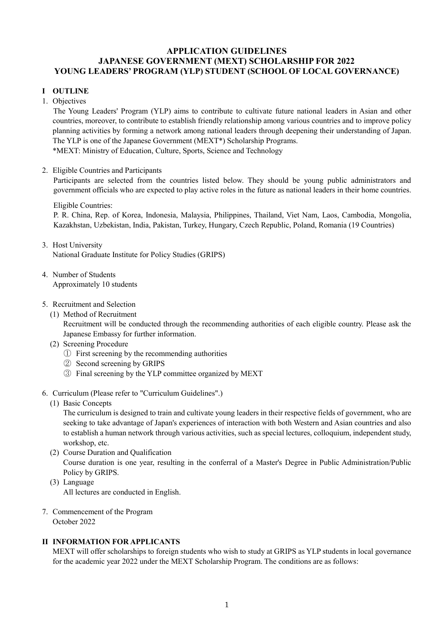# **APPLICATION GUIDELINES JAPANESE GOVERNMENT (MEXT) SCHOLARSHIP FOR 2022 YOUNG LEADERS' PROGRAM (YLP) STUDENT (SCHOOL OF LOCAL GOVERNANCE)**

# **I OUTLINE**

1. Objectives

The Young Leaders' Program (YLP) aims to contribute to cultivate future national leaders in Asian and other countries, moreover, to contribute to establish friendly relationship among various countries and to improve policy planning activities by forming a network among national leaders through deepening their understanding of Japan. The YLP is one of the Japanese Government (MEXT\*) Scholarship Programs. \*MEXT: Ministry of Education, Culture, Sports, Science and Technology

# 2. Eligible Countries and Participants

Participants are selected from the countries listed below. They should be young public administrators and government officials who are expected to play active roles in the future as national leaders in their home countries.

## Eligible Countries:

P. R. China, Rep. of Korea, Indonesia, Malaysia, Philippines, Thailand, Viet Nam, Laos, Cambodia, Mongolia, Kazakhstan, Uzbekistan, India, Pakistan, Turkey, Hungary, Czech Republic, Poland, Romania (19 Countries)

- 3. Host University National Graduate Institute for Policy Studies (GRIPS)
- 4. Number of Students Approximately 10 students
- 5. Recruitment and Selection
	- (1) Method of Recruitment

Recruitment will be conducted through the recommending authorities of each eligible country. Please ask the Japanese Embassy for further information.

- (2) Screening Procedure
	- ① First screening by the recommending authorities
	- ② Second screening by GRIPS
	- ③ Final screening by the YLP committee organized by MEXT
- 6. Curriculum (Please refer to "Curriculum Guidelines".)
	- (1) Basic Concepts

The curriculum is designed to train and cultivate young leaders in their respective fields of government, who are seeking to take advantage of Japan's experiences of interaction with both Western and Asian countries and also to establish a human network through various activities, such as special lectures, colloquium, independent study, workshop, etc.

- (2) Course Duration and Qualification Course duration is one year, resulting in the conferral of a Master's Degree in Public Administration/Public Policy by GRIPS.
- (3) Language All lectures are conducted in English.
- 7. Commencement of the Program October 2022

# **II INFORMATION FOR APPLICANTS**

MEXT will offer scholarships to foreign students who wish to study at GRIPS as YLP students in local governance for the academic year 2022 under the MEXT Scholarship Program. The conditions are as follows: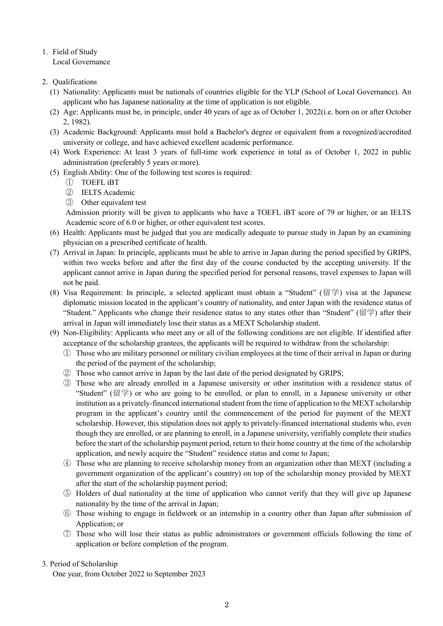# 1. Field of Study

Local Governance

# 2. Qualifications

- (1) Nationality: Applicants must be nationals of countries eligible for the YLP (School of Local Governance). An applicant who has Japanese nationality at the time of application is not eligible.
- (2) Age: Applicants must be, in principle, under 40 years of age as of October 1, 2022(i.e. born on or after October 2, 1982).
- (3) Academic Background: Applicants must hold a Bachelor's degree or equivalent from a recognized/accredited university or college, and have achieved excellent academic performance.
- (4) Work Experience: At least 3 years of full-time work experience in total as of October 1, 2022 in public administration (preferably 5 years or more).
- (5) English Ability: One of the following test scores is required:
	- ① TOEFL iBT
	- ② IELTS Academic
	- ③ Other equivalent test

Admission priority will be given to applicants who have a TOEFL iBT score of 79 or higher, or an IELTS Academic score of 6.0 or higher, or other equivalent test scores.

- (6) Health: Applicants must be judged that you are medically adequate to pursue study in Japan by an examining physician on a prescribed certificate of health.
- (7) Arrival in Japan: In principle, applicants must be able to arrive in Japan during the period specified by GRIPS, within two weeks before and after the first day of the course conducted by the accepting university. If the applicant cannot arrive in Japan during the specified period for personal reasons, travel expenses to Japan will not be paid.
- (8) Visa Requirement: In principle, a selected applicant must obtain a "Student" (留学) visa at the Japanese diplomatic mission located in the applicant's country of nationality, and enter Japan with the residence status of "Student." Applicants who change their residence status to any states other than "Student" (留学) after their arrival in Japan will immediately lose their status as a MEXT Scholarship student.
- (9) Non-Eligibility: Applicants who meet any or all of the following conditions are not eligible. If identified after acceptance of the scholarship grantees, the applicants will be required to withdraw from the scholarship:
	- ① Those who are military personnel or military civilian employees at the time of their arrival in Japan or during the period of the payment of the scholarship;
	- ② Those who cannot arrive in Japan by the last date of the period designated by GRIPS;
	- ③ Those who are already enrolled in a Japanese university or other institution with a residence status of "Student" (留学) or who are going to be enrolled, or plan to enroll, in a Japanese university or other institution as a privately-financed international student from the time of application to the MEXT scholarship program in the applicant's country until the commencement of the period for payment of the MEXT scholarship. However, this stipulation does not apply to privately-financed international students who, even though they are enrolled, or are planning to enroll, in a Japanese university, verifiably complete their studies before the start of the scholarship payment period, return to their home country at the time of the scholarship application, and newly acquire the "Student" residence status and come to Japan;
	- ④ Those who are planning to receive scholarship money from an organization other than MEXT (including a government organization of the applicant's country) on top of the scholarship money provided by MEXT after the start of the scholarship payment period;
	- ⑤ Holders of dual nationality at the time of application who cannot verify that they will give up Japanese nationality by the time of the arrival in Japan;
	- ⑥ Those wishing to engage in fieldwork or an internship in a country other than Japan after submission of Application; or
	- ⑦ Those who will lose their status as public administrators or government officials following the time of application or before completion of the program.

# 3. Period of Scholarship

One year, from October 2022 to September 2023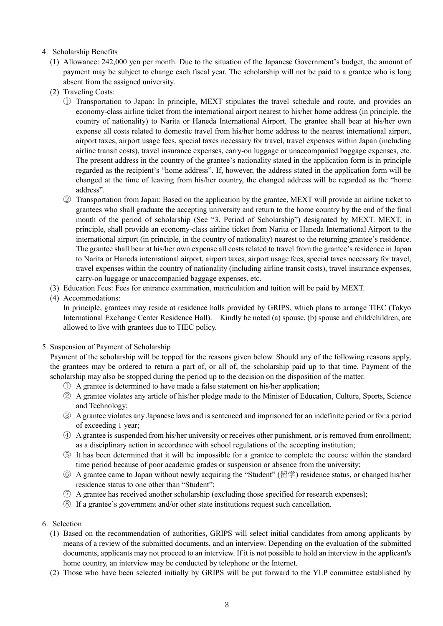# 4. Scholarship Benefits

- (1) Allowance: 242,000 yen per month. Due to the situation of the Japanese Government's budget, the amount of payment may be subject to change each fiscal year. The scholarship will not be paid to a grantee who is long absent from the assigned university.
- (2) Traveling Costs:
	- ① Transportation to Japan: In principle, MEXT stipulates the travel schedule and route, and provides an economy-class airline ticket from the international airport nearest to his/her home address (in principle, the country of nationality) to Narita or Haneda International Airport. The grantee shall bear at his/her own expense all costs related to domestic travel from his/her home address to the nearest international airport, airport taxes, airport usage fees, special taxes necessary for travel, travel expenses within Japan (including airline transit costs), travel insurance expenses, carry-on luggage or unaccompanied baggage expenses, etc. The present address in the country of the grantee's nationality stated in the application form is in principle regarded as the recipient's "home address". If, however, the address stated in the application form will be changed at the time of leaving from his/her country, the changed address will be regarded as the "home address".
	- ② Transportation from Japan: Based on the application by the grantee, MEXT will provide an airline ticket to grantees who shall graduate the accepting university and return to the home country by the end of the final month of the period of scholarship (See "3. Period of Scholarship") designated by MEXT. MEXT, in principle, shall provide an economy-class airline ticket from Narita or Haneda International Airport to the international airport (in principle, in the country of nationality) nearest to the returning grantee's residence. The grantee shall bear at his/her own expense all costs related to travel from the grantee's residence in Japan to Narita or Haneda international airport, airport taxes, airport usage fees, special taxes necessary for travel, travel expenses within the country of nationality (including airline transit costs), travel insurance expenses, carry-on luggage or unaccompanied baggage expenses, etc.
- (3) Education Fees: Fees for entrance examination, matriculation and tuition will be paid by MEXT.

## (4) Accommodations:

In principle, grantees may reside at residence halls provided by GRIPS, which plans to arrange TIEC (Tokyo International Exchange Center Residence Hall). Kindly be noted (a) spouse, (b) spouse and child/children, are allowed to live with grantees due to TIEC policy.

#### 5. Suspension of Payment of Scholarship

Payment of the scholarship will be topped for the reasons given below. Should any of the following reasons apply, the grantees may be ordered to return a part of, or all of, the scholarship paid up to that time. Payment of the scholarship may also be stopped during the period up to the decision on the disposition of the matter.

- ① A grantee is determined to have made a false statement on his/her application;
- ② A grantee violates any article of his/her pledge made to the Minister of Education, Culture, Sports, Science and Technology;
- ③ A grantee violates any Japanese laws and is sentenced and imprisoned for an indefinite period or for a period of exceeding 1 year;
- ④ A grantee is suspended from his/her university or receives other punishment, or is removed from enrollment; as a disciplinary action in accordance with school regulations of the accepting institution;
- ⑤ It has been determined that it will be impossible for a grantee to complete the course within the standard time period because of poor academic grades or suspension or absence from the university;
- ⑥ A grantee came to Japan without newly acquiring the "Student" (留学) residence status, or changed his/her residence status to one other than "Student";
- ⑦ A grantee has received another scholarship (excluding those specified for research expenses);
- ⑧ If a grantee's government and/or other state institutions request such cancellation.
- 6. Selection
	- (1) Based on the recommendation of authorities, GRIPS will select initial candidates from among applicants by means of a review of the submitted documents, and an interview. Depending on the evaluation of the submitted documents, applicants may not proceed to an interview. If it is not possible to hold an interview in the applicant's home country, an interview may be conducted by telephone or the Internet.
	- (2) Those who have been selected initially by GRIPS will be put forward to the YLP committee established by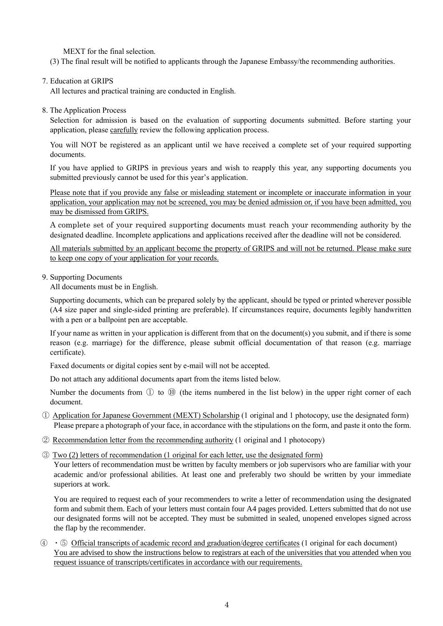MEXT for the final selection.

(3) The final result will be notified to applicants through the Japanese Embassy/the recommending authorities.

## 7. Education at GRIPS

All lectures and practical training are conducted in English.

8. The Application Process

Selection for admission is based on the evaluation of supporting documents submitted. Before starting your application, please carefully review the following application process.

You will NOT be registered as an applicant until we have received a complete set of your required supporting documents.

If you have applied to GRIPS in previous years and wish to reapply this year, any supporting documents you submitted previously cannot be used for this year's application.

Please note that if you provide any false or misleading statement or incomplete or inaccurate information in your application, your application may not be screened, you may be denied admission or, if you have been admitted, you may be dismissed from GRIPS.

A complete set of your required supporting documents must reach your recommending authority by the designated deadline. Incomplete applications and applications received after the deadline will not be considered.

All materials submitted by an applicant become the property of GRIPS and will not be returned. Please make sure to keep one copy of your application for your records.

#### 9. Supporting Documents

All documents must be in English.

Supporting documents, which can be prepared solely by the applicant, should be typed or printed wherever possible (A4 size paper and single-sided printing are preferable). If circumstances require, documents legibly handwritten with a pen or a ballpoint pen are acceptable.

If your name as written in your application is different from that on the document(s) you submit, and if there is some reason (e.g. marriage) for the difference, please submit official documentation of that reason (e.g. marriage certificate).

Faxed documents or digital copies sent by e-mail will not be accepted.

Do not attach any additional documents apart from the items listed below.

Number the documents from ① to ⑩ (the items numbered in the list below) in the upper right corner of each document.

- ① Application for Japanese Government (MEXT) Scholarship (1 original and 1 photocopy, use the designated form) Please prepare a photograph of your face, in accordance with the stipulations on the form, and paste it onto the form.
- ② Recommendation letter from the recommending authority (1 original and 1 photocopy)
- ③ Two (2) letters of recommendation (1 original for each letter, use the designated form)

Your letters of recommendation must be written by faculty members or job supervisors who are familiar with your academic and/or professional abilities. At least one and preferably two should be written by your immediate superiors at work.

You are required to request each of your recommenders to write a letter of recommendation using the designated form and submit them. Each of your letters must contain four A4 pages provided. Letters submitted that do not use our designated forms will not be accepted. They must be submitted in sealed, unopened envelopes signed across the flap by the recommender.

④ ・⑤ Official transcripts of academic record and graduation/degree certificates (1 original for each document) You are advised to show the instructions below to registrars at each of the universities that you attended when you request issuance of transcripts/certificates in accordance with our requirements.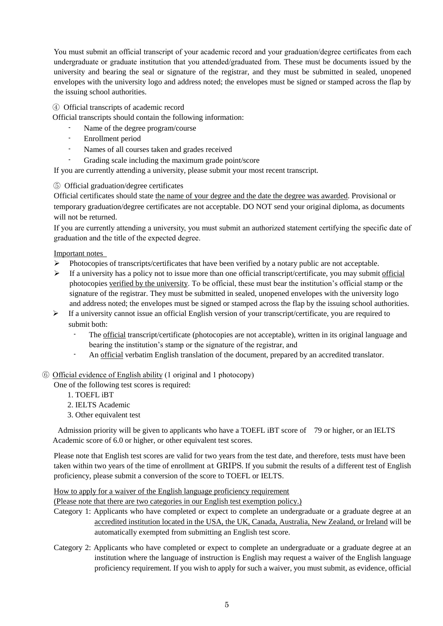You must submit an official transcript of your academic record and your graduation/degree certificates from each undergraduate or graduate institution that you attended/graduated from. These must be documents issued by the university and bearing the seal or signature of the registrar, and they must be submitted in sealed, unopened envelopes with the university logo and address noted; the envelopes must be signed or stamped across the flap by the issuing school authorities.

## ④ Official transcripts of academic record

Official transcripts should contain the following information:

- Name of the degree program/course
- Enrollment period
- Names of all courses taken and grades received
- Grading scale including the maximum grade point/score

If you are currently attending a university, please submit your most recent transcript.

## ⑤ Official graduation/degree certificates

Official certificates should state the name of your degree and the date the degree was awarded. Provisional or temporary graduation/degree certificates are not acceptable. DO NOT send your original diploma, as documents will not be returned.

If you are currently attending a university, you must submit an authorized statement certifying the specific date of graduation and the title of the expected degree.

Important notes

- $\triangleright$  Photocopies of transcripts/certificates that have been verified by a notary public are not acceptable.
- $\triangleright$  If a university has a policy not to issue more than one official transcript/certificate, you may submit official photocopies verified by the university. To be official, these must bear the institution's official stamp or the signature of the registrar. They must be submitted in sealed, unopened envelopes with the university logo and address noted; the envelopes must be signed or stamped across the flap by the issuing school authorities.
- $\triangleright$  If a university cannot issue an official English version of your transcript/certificate, you are required to submit both:
	- The official transcript/certificate (photocopies are not acceptable), written in its original language and bearing the institution's stamp or the signature of the registrar, and
	- An official verbatim English translation of the document, prepared by an accredited translator.

#### ⑥ Official evidence of English ability (1 original and 1 photocopy)

One of the following test scores is required:

- 1. TOEFL iBT
- 2. IELTS Academic
- 3. Other equivalent test

 Admission priority will be given to applicants who have a TOEFL iBT score of 79 or higher, or an IELTS Academic score of 6.0 or higher, or other equivalent test scores.

Please note that English test scores are valid for two years from the test date, and therefore, tests must have been taken within two years of the time of enrollment at GRIPS. If you submit the results of a different test of English proficiency, please submit a conversion of the score to TOEFL or IELTS.

How to apply for a waiver of the English language proficiency requirement

(Please note that there are two categories in our English test exemption policy.)

- Category 1: Applicants who have completed or expect to complete an undergraduate or a graduate degree at an accredited institution located in the USA, the UK, Canada, Australia, New Zealand, or Ireland will be automatically exempted from submitting an English test score.
- Category 2: Applicants who have completed or expect to complete an undergraduate or a graduate degree at an institution where the language of instruction is English may request a waiver of the English language proficiency requirement. If you wish to apply for such a waiver, you must submit, as evidence, official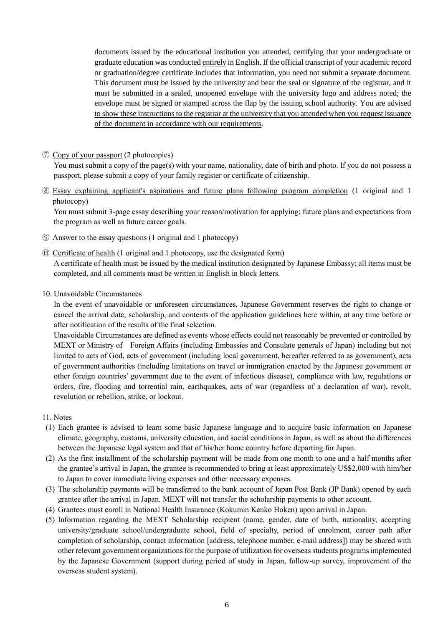documents issued by the educational institution you attended, certifying that your undergraduate or graduate education was conducted entirely in English. If the official transcript of your academic record or graduation/degree certificate includes that information, you need not submit a separate document. This document must be issued by the university and bear the seal or signature of the registrar, and it must be submitted in a sealed, unopened envelope with the university logo and address noted; the envelope must be signed or stamped across the flap by the issuing school authority. You are advised to show these instructions to the registrar at the university that you attended when you request issuance of the document in accordance with our requirements.

## ⑦ Copy of your passport (2 photocopies)

You must submit a copy of the page(s) with your name, nationality, date of birth and photo. If you do not possess a passport, please submit a copy of your family register or certificate of citizenship.

⑧ Essay explaining applicant's aspirations and future plans following program completion (1 original and 1 photocopy)

You must submit 3-page essay describing your reason/motivation for applying; future plans and expectations from the program as well as future career goals.

⑨ Answer to the essay questions (1 original and 1 photocopy)

⑩ Certificate of health (1 original and 1 photocopy, use the designated form) A certificate of health must be issued by the medical institution designated by Japanese Embassy; all items must be completed, and all comments must be written in English in block letters.

10. Unavoidable Circumstances

In the event of unavoidable or unforeseen circumstances, Japanese Government reserves the right to change or cancel the arrival date, scholarship, and contents of the application guidelines here within, at any time before or after notification of the results of the final selection.

Unavoidable Circumstances are defined as events whose effects could not reasonably be prevented or controlled by MEXT or Ministry of Foreign Affairs (including Embassies and Consulate generals of Japan) including but not limited to acts of God, acts of government (including local government, hereafter referred to as government), acts of government authorities (including limitations on travel or immigration enacted by the Japanese government or other foreign countries' government due to the event of infectious disease), compliance with law, regulations or orders, fire, flooding and torrential rain, earthquakes, acts of war (regardless of a declaration of war), revolt, revolution or rebellion, strike, or lockout.

- 11. Notes
- (1) Each grantee is advised to learn some basic Japanese language and to acquire basic information on Japanese climate, geography, customs, university education, and social conditions in Japan, as well as about the differences between the Japanese legal system and that of his/her home country before departing for Japan.
- (2) As the first installment of the scholarship payment will be made from one month to one and a half months after the grantee's arrival in Japan, the grantee is recommended to bring at least approximately US\$2,000 with him/her to Japan to cover immediate living expenses and other necessary expenses.
- (3) The scholarship payments will be transferred to the bank account of Japan Post Bank (JP Bank) opened by each grantee after the arrival in Japan. MEXT will not transfer the scholarship payments to other account.
- (4) Grantees must enroll in National Health Insurance (Kokumin Kenko Hoken) upon arrival in Japan.
- (5) Information regarding the MEXT Scholarship recipient (name, gender, date of birth, nationality, accepting university/graduate school/undergraduate school, field of specialty, period of enrolment, career path after completion of scholarship, contact information [address, telephone number, e-mail address]) may be shared with other relevant government organizations for the purpose of utilization for overseas students programs implemented by the Japanese Government (support during period of study in Japan, follow-up survey, improvement of the overseas student system).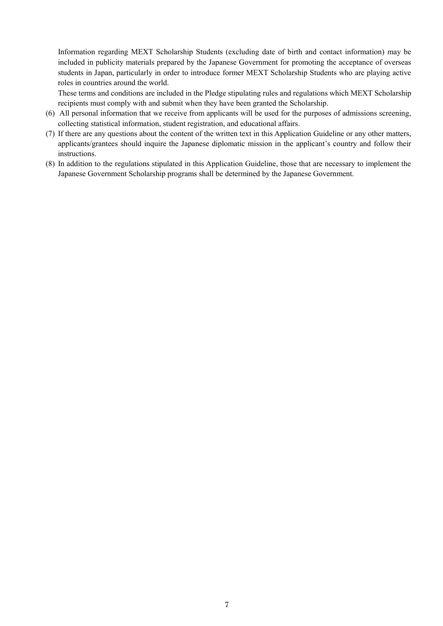Information regarding MEXT Scholarship Students (excluding date of birth and contact information) may be included in publicity materials prepared by the Japanese Government for promoting the acceptance of overseas students in Japan, particularly in order to introduce former MEXT Scholarship Students who are playing active roles in countries around the world.

These terms and conditions are included in the Pledge stipulating rules and regulations which MEXT Scholarship recipients must comply with and submit when they have been granted the Scholarship.

- (6) All personal information that we receive from applicants will be used for the purposes of admissions screening, collecting statistical information, student registration, and educational affairs.
- (7) If there are any questions about the content of the written text in this Application Guideline or any other matters, applicants/grantees should inquire the Japanese diplomatic mission in the applicant's country and follow their instructions.
- (8) In addition to the regulations stipulated in this Application Guideline, those that are necessary to implement the Japanese Government Scholarship programs shall be determined by the Japanese Government.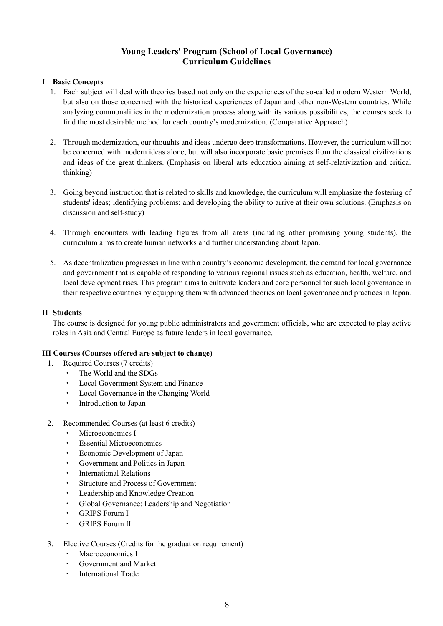# **Young Leaders' Program (School of Local Governance) Curriculum Guidelines**

### **I Basic Concepts**

- 1. Each subject will deal with theories based not only on the experiences of the so-called modern Western World, but also on those concerned with the historical experiences of Japan and other non-Western countries. While analyzing commonalities in the modernization process along with its various possibilities, the courses seek to find the most desirable method for each country's modernization. (Comparative Approach)
- 2. Through modernization, our thoughts and ideas undergo deep transformations. However, the curriculum will not be concerned with modern ideas alone, but will also incorporate basic premises from the classical civilizations and ideas of the great thinkers. (Emphasis on liberal arts education aiming at self-relativization and critical thinking)
- 3. Going beyond instruction that is related to skills and knowledge, the curriculum will emphasize the fostering of students' ideas; identifying problems; and developing the ability to arrive at their own solutions. (Emphasis on discussion and self-study)
- 4. Through encounters with leading figures from all areas (including other promising young students), the curriculum aims to create human networks and further understanding about Japan.
- 5. As decentralization progresses in line with a country's economic development, the demand for local governance and government that is capable of responding to various regional issues such as education, health, welfare, and local development rises. This program aims to cultivate leaders and core personnel for such local governance in their respective countries by equipping them with advanced theories on local governance and practices in Japan.

### **II Students**

The course is designed for young public administrators and government officials, who are expected to play active roles in Asia and Central Europe as future leaders in local governance.

#### **III Courses (Courses offered are subject to change)**

- 1. Required Courses (7 credits)
	- ・ The World and the SDGs
	- ・ Local Government System and Finance
	- Local Governance in the Changing World
	- ・ Introduction to Japan
- 2. Recommended Courses (at least 6 credits)
	- Microeconomics I
	- **Essential Microeconomics**
	- Economic Development of Japan
	- Government and Politics in Japan
	- ・ International Relations
	- **Structure and Process of Government**
	- ・ Leadership and Knowledge Creation
	- ・ Global Governance: Leadership and Negotiation
	- ・ GRIPS Forum I
	- ・ GRIPS Forum II
- 3. Elective Courses (Credits for the graduation requirement)
	- Macroeconomics I
	- Government and Market
	- ・ International Trade